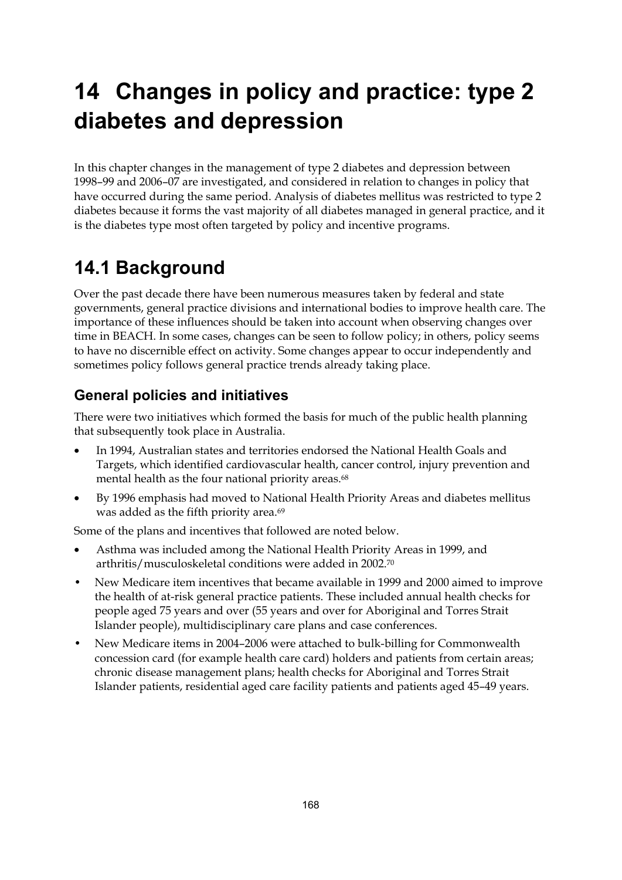# **14 Changes in policy and practice: type 2 diabetes and depression**

In this chapter changes in the management of type 2 diabetes and depression between 1998–99 and 2006–07 are investigated, and considered in relation to changes in policy that have occurred during the same period. Analysis of diabetes mellitus was restricted to type 2 diabetes because it forms the vast majority of all diabetes managed in general practice, and it is the diabetes type most often targeted by policy and incentive programs.

## **14.1 Background**

Over the past decade there have been numerous measures taken by federal and state governments, general practice divisions and international bodies to improve health care. The importance of these influences should be taken into account when observing changes over time in BEACH. In some cases, changes can be seen to follow policy; in others, policy seems to have no discernible effect on activity. Some changes appear to occur independently and sometimes policy follows general practice trends already taking place.

## **General policies and initiatives**

There were two initiatives which formed the basis for much of the public health planning that subsequently took place in Australia.

- In 1994, Australian states and territories endorsed the National Health Goals and Targets, which identified cardiovascular health, cancer control, injury prevention and mental health as the four national priority areas.<sup>68</sup>
- By 1996 emphasis had moved to National Health Priority Areas and diabetes mellitus was added as the fifth priority area.<sup>69</sup>

Some of the plans and incentives that followed are noted below.

- Asthma was included among the National Health Priority Areas in 1999, and arthritis/musculoskeletal conditions were added in 2002.70
- New Medicare item incentives that became available in 1999 and 2000 aimed to improve the health of at-risk general practice patients. These included annual health checks for people aged 75 years and over (55 years and over for Aboriginal and Torres Strait Islander people), multidisciplinary care plans and case conferences.
- New Medicare items in 2004–2006 were attached to bulk-billing for Commonwealth concession card (for example health care card) holders and patients from certain areas; chronic disease management plans; health checks for Aboriginal and Torres Strait Islander patients, residential aged care facility patients and patients aged 45–49 years.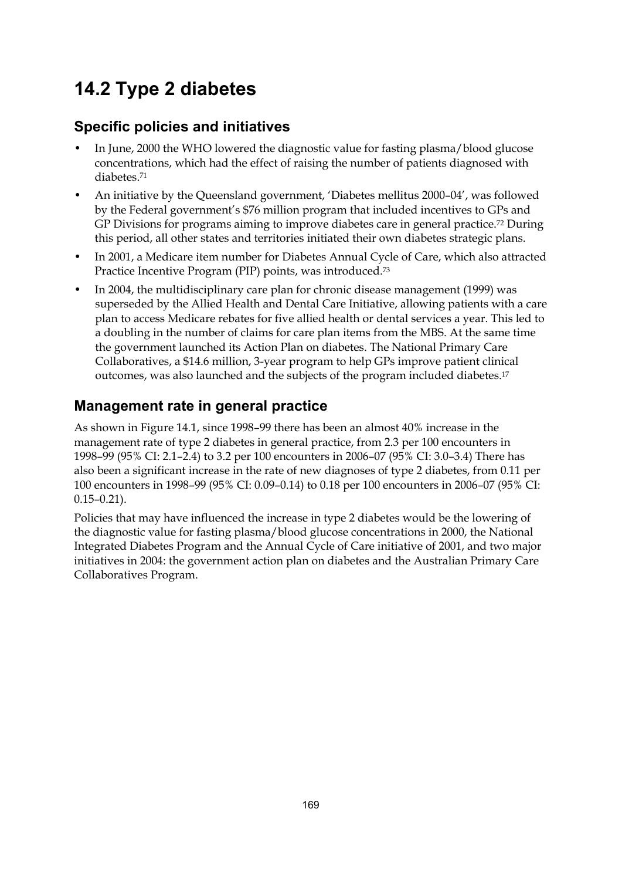## **14.2 Type 2 diabetes**

## **Specific policies and initiatives**

- In June, 2000 the WHO lowered the diagnostic value for fasting plasma/blood glucose concentrations, which had the effect of raising the number of patients diagnosed with diabetes.71
- An initiative by the Queensland government, 'Diabetes mellitus 2000–04', was followed by the Federal government's \$76 million program that included incentives to GPs and GP Divisions for programs aiming to improve diabetes care in general practice.<sup>72</sup> During this period, all other states and territories initiated their own diabetes strategic plans.
- In 2001, a Medicare item number for Diabetes Annual Cycle of Care, which also attracted Practice Incentive Program (PIP) points, was introduced.73
- In 2004, the multidisciplinary care plan for chronic disease management (1999) was superseded by the Allied Health and Dental Care Initiative, allowing patients with a care plan to access Medicare rebates for five allied health or dental services a year. This led to a doubling in the number of claims for care plan items from the MBS. At the same time the government launched its Action Plan on diabetes. The National Primary Care Collaboratives, a \$14.6 million, 3-year program to help GPs improve patient clinical outcomes, was also launched and the subjects of the program included diabetes.17

## **Management rate in general practice**

As shown in Figure 14.1, since 1998–99 there has been an almost 40% increase in the management rate of type 2 diabetes in general practice, from 2.3 per 100 encounters in 1998–99 (95% CI: 2.1–2.4) to 3.2 per 100 encounters in 2006–07 (95% CI: 3.0–3.4) There has also been a significant increase in the rate of new diagnoses of type 2 diabetes, from 0.11 per 100 encounters in 1998–99 (95% CI: 0.09–0.14) to 0.18 per 100 encounters in 2006–07 (95% CI: 0.15–0.21).

Policies that may have influenced the increase in type 2 diabetes would be the lowering of the diagnostic value for fasting plasma/blood glucose concentrations in 2000, the National Integrated Diabetes Program and the Annual Cycle of Care initiative of 2001, and two major initiatives in 2004: the government action plan on diabetes and the Australian Primary Care Collaboratives Program.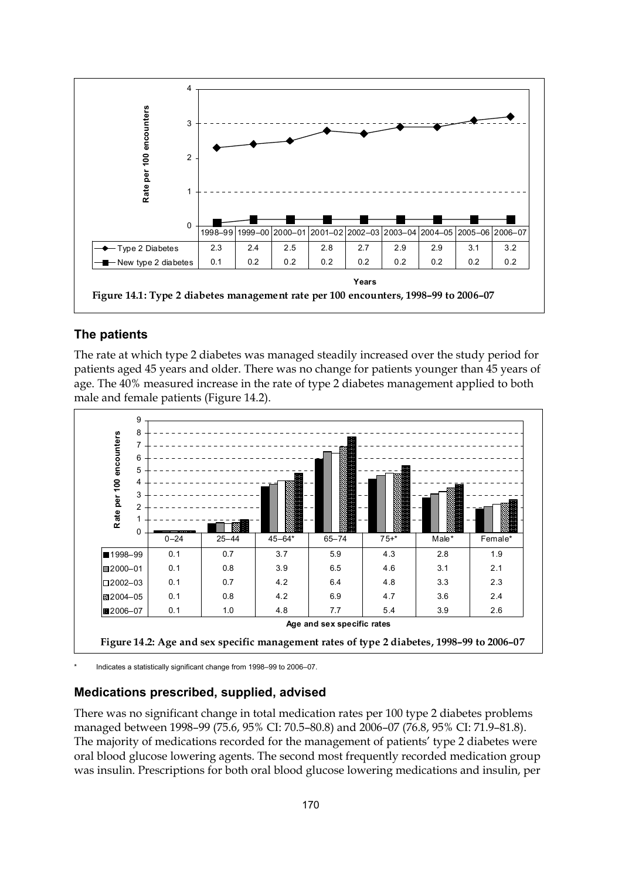

#### **The patients**

The rate at which type 2 diabetes was managed steadily increased over the study period for patients aged 45 years and older. There was no change for patients younger than 45 years of age. The 40% measured increase in the rate of type 2 diabetes management applied to both male and female patients (Figure 14.2).



Indicates a statistically significant change from 1998–99 to 2006–07.

#### **Medications prescribed, supplied, advised**

There was no significant change in total medication rates per 100 type 2 diabetes problems managed between 1998–99 (75.6, 95% CI: 70.5–80.8) and 2006–07 (76.8, 95% CI: 71.9–81.8). The majority of medications recorded for the management of patients' type 2 diabetes were oral blood glucose lowering agents. The second most frequently recorded medication group was insulin. Prescriptions for both oral blood glucose lowering medications and insulin, per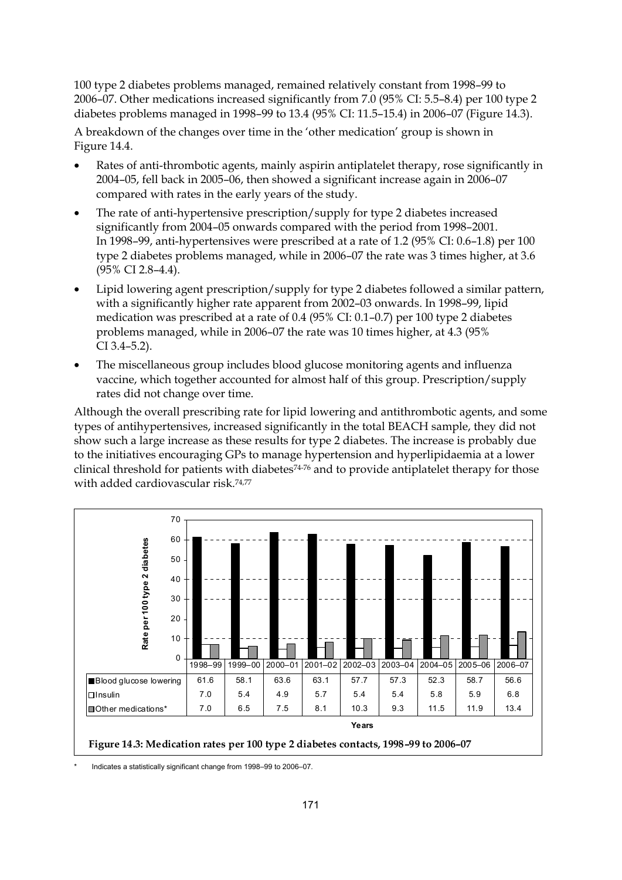100 type 2 diabetes problems managed, remained relatively constant from 1998–99 to 2006–07. Other medications increased significantly from 7.0 (95% CI: 5.5–8.4) per 100 type 2 diabetes problems managed in 1998–99 to 13.4 (95% CI: 11.5–15.4) in 2006–07 (Figure 14.3).

A breakdown of the changes over time in the 'other medication' group is shown in Figure 14.4.

- Rates of anti-thrombotic agents, mainly aspirin antiplatelet therapy, rose significantly in 2004–05, fell back in 2005–06, then showed a significant increase again in 2006–07 compared with rates in the early years of the study.
- The rate of anti-hypertensive prescription/supply for type 2 diabetes increased significantly from 2004–05 onwards compared with the period from 1998–2001. In 1998–99, anti-hypertensives were prescribed at a rate of 1.2 (95% CI: 0.6–1.8) per 100 type 2 diabetes problems managed, while in 2006–07 the rate was 3 times higher, at 3.6 (95% CI 2.8–4.4).
- Lipid lowering agent prescription/supply for type 2 diabetes followed a similar pattern, with a significantly higher rate apparent from 2002–03 onwards. In 1998–99, lipid medication was prescribed at a rate of 0.4 (95% CI: 0.1–0.7) per 100 type 2 diabetes problems managed, while in 2006–07 the rate was 10 times higher, at 4.3 (95% CI 3.4–5.2).
- The miscellaneous group includes blood glucose monitoring agents and influenza vaccine, which together accounted for almost half of this group. Prescription/supply rates did not change over time.

Although the overall prescribing rate for lipid lowering and antithrombotic agents, and some types of antihypertensives, increased significantly in the total BEACH sample, they did not show such a large increase as these results for type 2 diabetes. The increase is probably due to the initiatives encouraging GPs to manage hypertension and hyperlipidaemia at a lower clinical threshold for patients with diabetes<sup>74-76</sup> and to provide antiplatelet therapy for those with added cardiovascular risk.74,77



Indicates a statistically significant change from 1998–99 to 2006–07.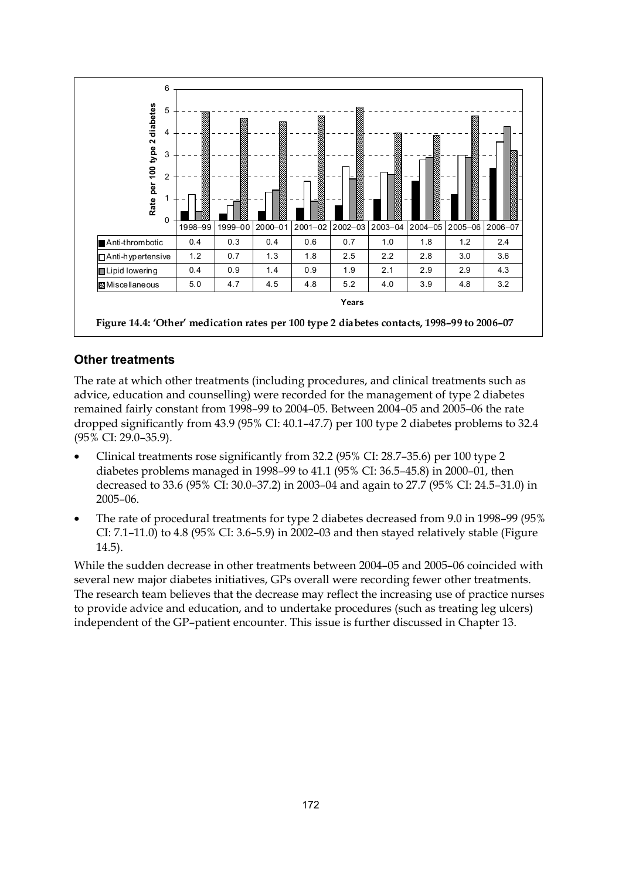

#### **Other treatments**

The rate at which other treatments (including procedures, and clinical treatments such as advice, education and counselling) were recorded for the management of type 2 diabetes remained fairly constant from 1998–99 to 2004–05. Between 2004–05 and 2005–06 the rate dropped significantly from 43.9 (95% CI: 40.1–47.7) per 100 type 2 diabetes problems to 32.4 (95% CI: 29.0–35.9).

- Clinical treatments rose significantly from 32.2 (95% CI: 28.7–35.6) per 100 type 2 diabetes problems managed in 1998–99 to 41.1 (95% CI: 36.5–45.8) in 2000–01, then decreased to 33.6 (95% CI: 30.0–37.2) in 2003–04 and again to 27.7 (95% CI: 24.5–31.0) in 2005–06.
- The rate of procedural treatments for type 2 diabetes decreased from 9.0 in 1998–99 (95% CI: 7.1–11.0) to 4.8 (95% CI: 3.6–5.9) in 2002–03 and then stayed relatively stable (Figure 14.5).

While the sudden decrease in other treatments between 2004–05 and 2005–06 coincided with several new major diabetes initiatives, GPs overall were recording fewer other treatments. The research team believes that the decrease may reflect the increasing use of practice nurses to provide advice and education, and to undertake procedures (such as treating leg ulcers) independent of the GP–patient encounter. This issue is further discussed in Chapter 13.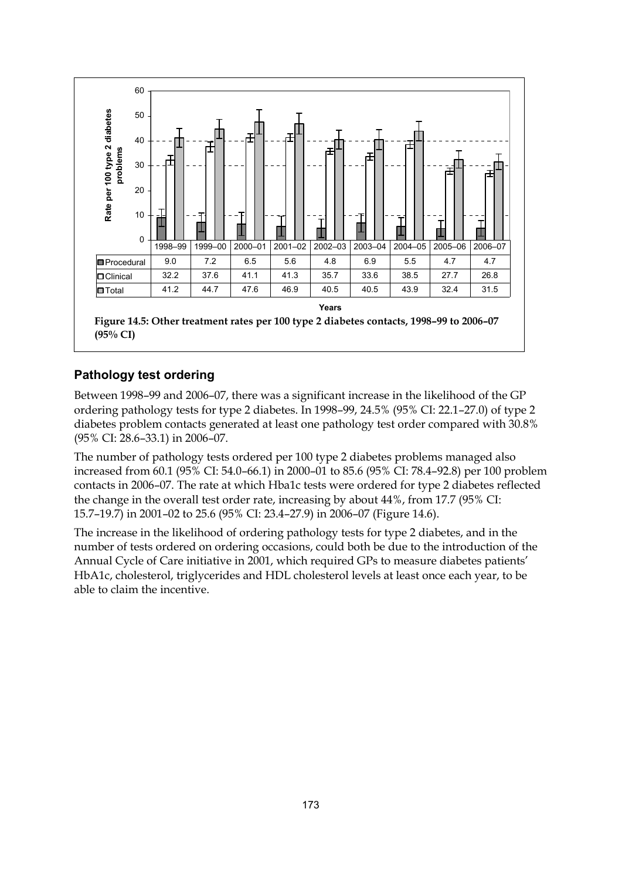

#### **Pathology test ordering**

Between 1998–99 and 2006–07, there was a significant increase in the likelihood of the GP ordering pathology tests for type 2 diabetes. In 1998–99, 24.5% (95% CI: 22.1–27.0) of type 2 diabetes problem contacts generated at least one pathology test order compared with 30.8% (95% CI: 28.6–33.1) in 2006–07.

The number of pathology tests ordered per 100 type 2 diabetes problems managed also increased from 60.1 (95% CI: 54.0–66.1) in 2000–01 to 85.6 (95% CI: 78.4–92.8) per 100 problem contacts in 2006–07. The rate at which Hba1c tests were ordered for type 2 diabetes reflected the change in the overall test order rate, increasing by about 44%, from 17.7 (95% CI: 15.7–19.7) in 2001–02 to 25.6 (95% CI: 23.4–27.9) in 2006–07 (Figure 14.6).

The increase in the likelihood of ordering pathology tests for type 2 diabetes, and in the number of tests ordered on ordering occasions, could both be due to the introduction of the Annual Cycle of Care initiative in 2001, which required GPs to measure diabetes patients' HbA1c, cholesterol, triglycerides and HDL cholesterol levels at least once each year, to be able to claim the incentive.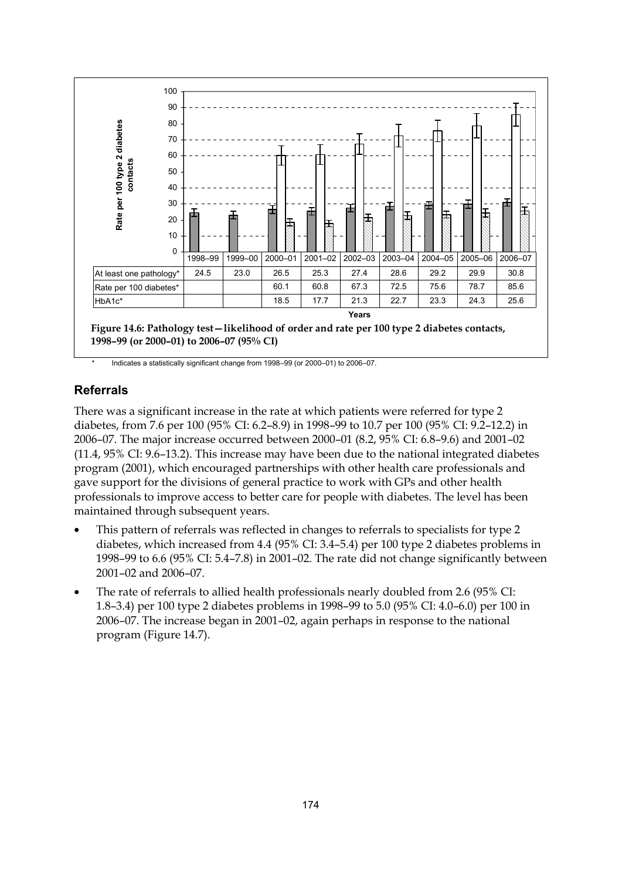

Indicates a statistically significant change from 1998–99 (or 2000–01) to 2006–07.

#### **Referrals**

There was a significant increase in the rate at which patients were referred for type 2 diabetes, from 7.6 per 100 (95% CI: 6.2–8.9) in 1998–99 to 10.7 per 100 (95% CI: 9.2–12.2) in 2006–07. The major increase occurred between 2000–01 (8.2, 95% CI: 6.8–9.6) and 2001–02 (11.4, 95% CI: 9.6–13.2). This increase may have been due to the national integrated diabetes program (2001), which encouraged partnerships with other health care professionals and gave support for the divisions of general practice to work with GPs and other health professionals to improve access to better care for people with diabetes. The level has been maintained through subsequent years.

- This pattern of referrals was reflected in changes to referrals to specialists for type 2 diabetes, which increased from 4.4 (95% CI: 3.4–5.4) per 100 type 2 diabetes problems in 1998–99 to 6.6 (95% CI: 5.4–7.8) in 2001–02. The rate did not change significantly between 2001–02 and 2006–07.
- The rate of referrals to allied health professionals nearly doubled from 2.6 (95% CI: 1.8–3.4) per 100 type 2 diabetes problems in 1998–99 to 5.0 (95% CI: 4.0–6.0) per 100 in 2006–07. The increase began in 2001–02, again perhaps in response to the national program (Figure 14.7).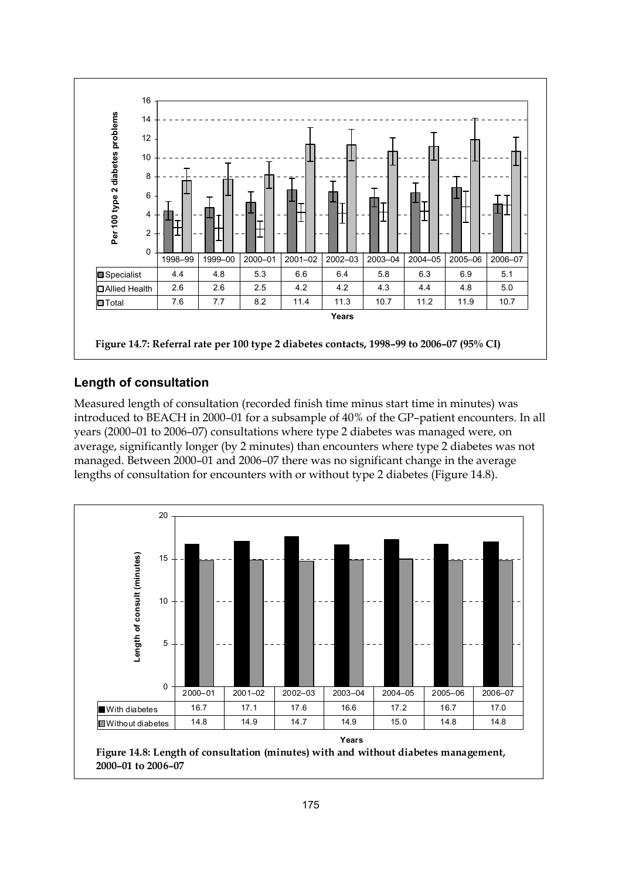

#### **Length of consultation**

Measured length of consultation (recorded finish time minus start time in minutes) was introduced to BEACH in 2000–01 for a subsample of 40% of the GP–patient encounters. In all years (2000–01 to 2006–07) consultations where type 2 diabetes was managed were, on average, significantly longer (by 2 minutes) than encounters where type 2 diabetes was not managed. Between 2000–01 and 2006–07 there was no significant change in the average lengths of consultation for encounters with or without type 2 diabetes (Figure 14.8).

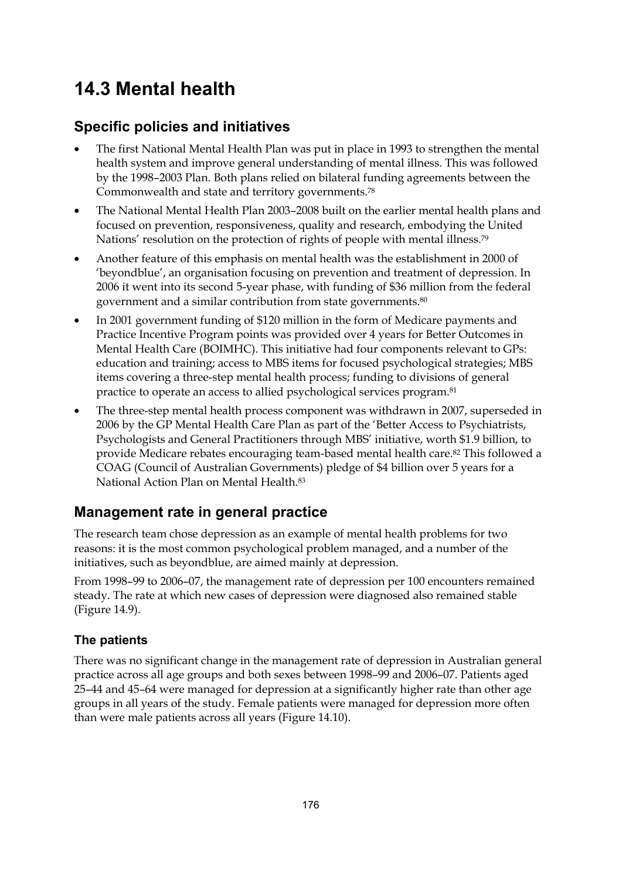## **14.3 Mental health**

### **Specific policies and initiatives**

- The first National Mental Health Plan was put in place in 1993 to strengthen the mental health system and improve general understanding of mental illness. This was followed by the 1998–2003 Plan. Both plans relied on bilateral funding agreements between the Commonwealth and state and territory governments.78
- The National Mental Health Plan 2003–2008 built on the earlier mental health plans and focused on prevention, responsiveness, quality and research, embodying the United Nations' resolution on the protection of rights of people with mental illness.<sup>79</sup>
- Another feature of this emphasis on mental health was the establishment in 2000 of 'beyondblue', an organisation focusing on prevention and treatment of depression. In 2006 it went into its second 5-year phase, with funding of \$36 million from the federal government and a similar contribution from state governments.80
- In 2001 government funding of \$120 million in the form of Medicare payments and Practice Incentive Program points was provided over 4 years for Better Outcomes in Mental Health Care (BOIMHC). This initiative had four components relevant to GPs: education and training; access to MBS items for focused psychological strategies; MBS items covering a three-step mental health process; funding to divisions of general practice to operate an access to allied psychological services program.81
- The three-step mental health process component was withdrawn in 2007, superseded in 2006 by the GP Mental Health Care Plan as part of the 'Better Access to Psychiatrists, Psychologists and General Practitioners through MBS' initiative, worth \$1.9 billion, to provide Medicare rebates encouraging team-based mental health care.82 This followed a COAG (Council of Australian Governments) pledge of \$4 billion over 5 years for a National Action Plan on Mental Health.83

### **Management rate in general practice**

The research team chose depression as an example of mental health problems for two reasons: it is the most common psychological problem managed, and a number of the initiatives, such as beyondblue, are aimed mainly at depression.

From 1998–99 to 2006–07, the management rate of depression per 100 encounters remained steady. The rate at which new cases of depression were diagnosed also remained stable (Figure 14.9).

#### **The patients**

There was no significant change in the management rate of depression in Australian general practice across all age groups and both sexes between 1998–99 and 2006–07. Patients aged 25–44 and 45–64 were managed for depression at a significantly higher rate than other age groups in all years of the study. Female patients were managed for depression more often than were male patients across all years (Figure 14.10).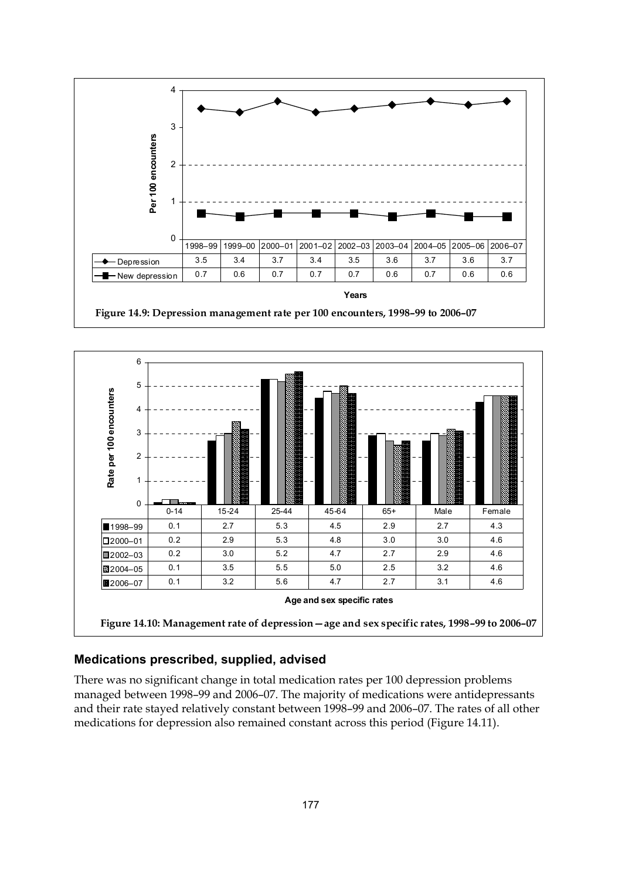



#### **Medications prescribed, supplied, advised**

There was no significant change in total medication rates per 100 depression problems managed between 1998–99 and 2006–07. The majority of medications were antidepressants and their rate stayed relatively constant between 1998–99 and 2006–07. The rates of all other medications for depression also remained constant across this period (Figure 14.11).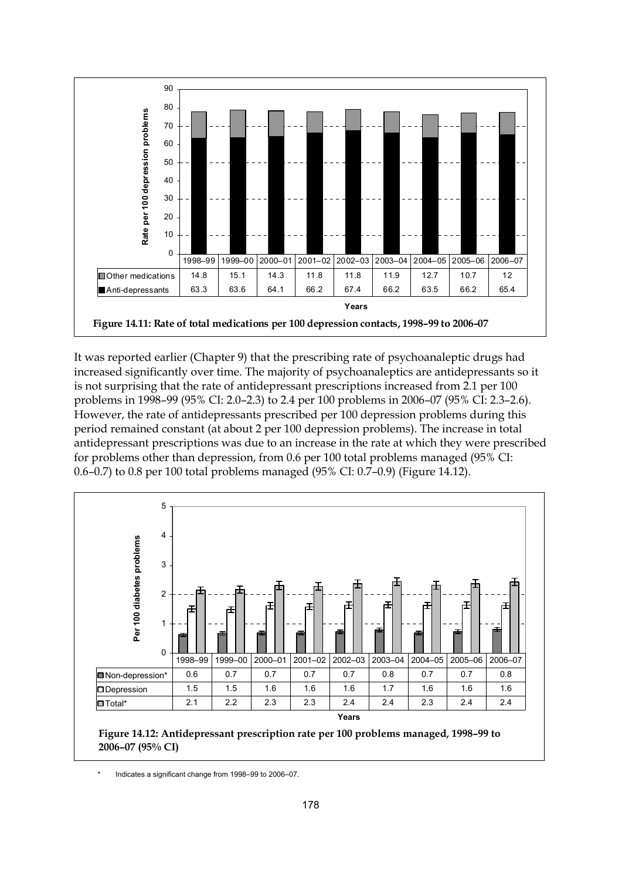

It was reported earlier (Chapter 9) that the prescribing rate of psychoanaleptic drugs had increased significantly over time. The majority of psychoanaleptics are antidepressants so it is not surprising that the rate of antidepressant prescriptions increased from 2.1 per 100 problems in 1998–99 (95% CI: 2.0–2.3) to 2.4 per 100 problems in 2006–07 (95% CI: 2.3–2.6). However, the rate of antidepressants prescribed per 100 depression problems during this period remained constant (at about 2 per 100 depression problems). The increase in total antidepressant prescriptions was due to an increase in the rate at which they were prescribed for problems other than depression, from 0.6 per 100 total problems managed (95% CI: 0.6–0.7) to 0.8 per 100 total problems managed (95% CI: 0.7–0.9) (Figure 14.12).



Indicates a significant change from 1998–99 to 2006–07.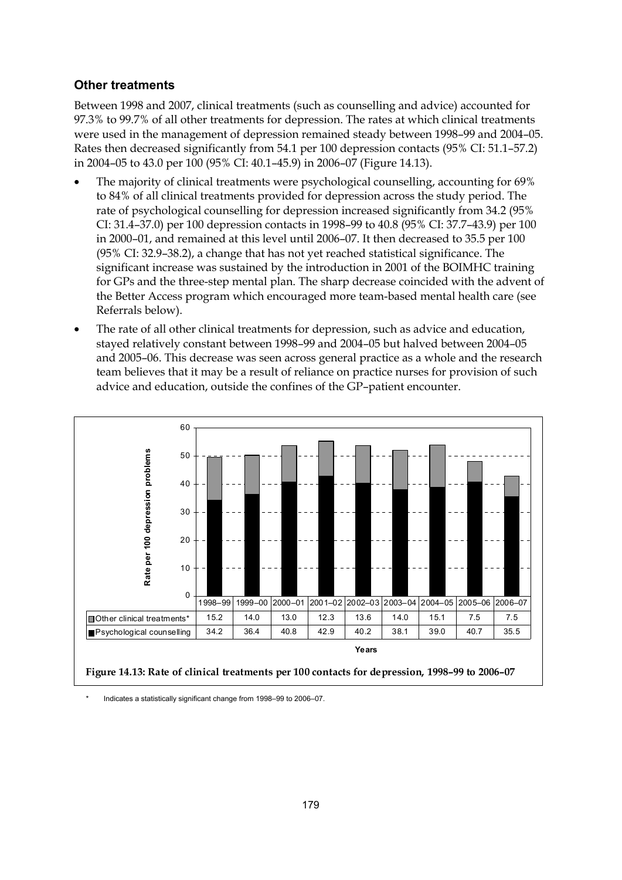#### **Other treatments**

Between 1998 and 2007, clinical treatments (such as counselling and advice) accounted for 97.3% to 99.7% of all other treatments for depression. The rates at which clinical treatments were used in the management of depression remained steady between 1998–99 and 2004–05. Rates then decreased significantly from 54.1 per 100 depression contacts (95% CI: 51.1–57.2) in 2004–05 to 43.0 per 100 (95% CI: 40.1–45.9) in 2006–07 (Figure 14.13).

- The majority of clinical treatments were psychological counselling, accounting for 69% to 84% of all clinical treatments provided for depression across the study period. The rate of psychological counselling for depression increased significantly from 34.2 (95% CI: 31.4–37.0) per 100 depression contacts in 1998–99 to 40.8 (95% CI: 37.7–43.9) per 100 in 2000–01, and remained at this level until 2006–07. It then decreased to 35.5 per 100 (95% CI: 32.9–38.2), a change that has not yet reached statistical significance. The significant increase was sustained by the introduction in 2001 of the BOIMHC training for GPs and the three-step mental plan. The sharp decrease coincided with the advent of the Better Access program which encouraged more team-based mental health care (see Referrals below).
- The rate of all other clinical treatments for depression, such as advice and education, stayed relatively constant between 1998–99 and 2004–05 but halved between 2004–05 and 2005–06. This decrease was seen across general practice as a whole and the research team believes that it may be a result of reliance on practice nurses for provision of such advice and education, outside the confines of the GP–patient encounter.



Indicates a statistically significant change from 1998–99 to 2006–07.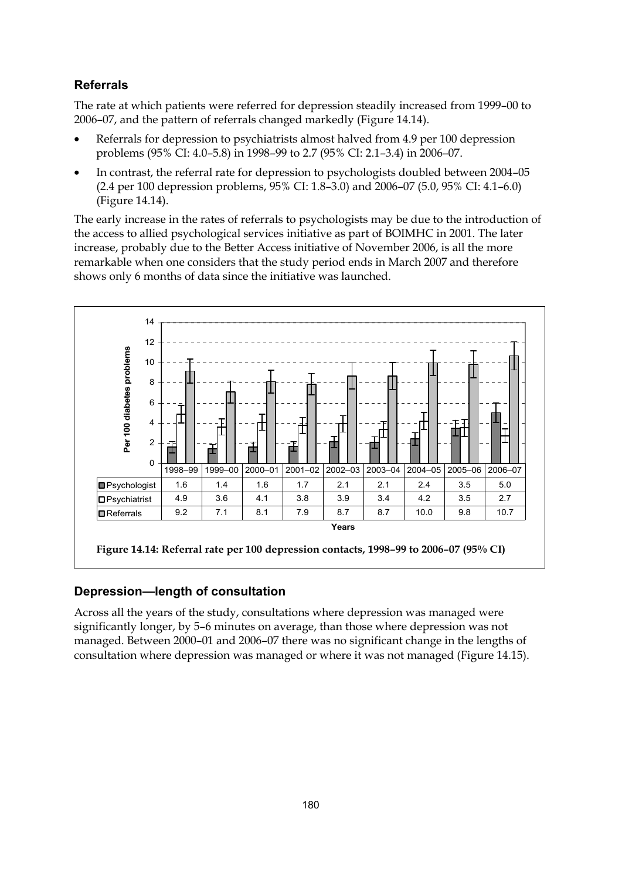#### **Referrals**

The rate at which patients were referred for depression steadily increased from 1999–00 to 2006–07, and the pattern of referrals changed markedly (Figure 14.14).

- Referrals for depression to psychiatrists almost halved from 4.9 per 100 depression problems (95% CI: 4.0–5.8) in 1998–99 to 2.7 (95% CI: 2.1–3.4) in 2006–07.
- In contrast, the referral rate for depression to psychologists doubled between 2004–05 (2.4 per 100 depression problems, 95% CI: 1.8–3.0) and 2006–07 (5.0, 95% CI: 4.1–6.0) (Figure 14.14).

The early increase in the rates of referrals to psychologists may be due to the introduction of the access to allied psychological services initiative as part of BOIMHC in 2001. The later increase, probably due to the Better Access initiative of November 2006, is all the more remarkable when one considers that the study period ends in March 2007 and therefore shows only 6 months of data since the initiative was launched.



#### **Depression—length of consultation**

Across all the years of the study, consultations where depression was managed were significantly longer, by 5–6 minutes on average, than those where depression was not managed. Between 2000–01 and 2006–07 there was no significant change in the lengths of consultation where depression was managed or where it was not managed (Figure 14.15).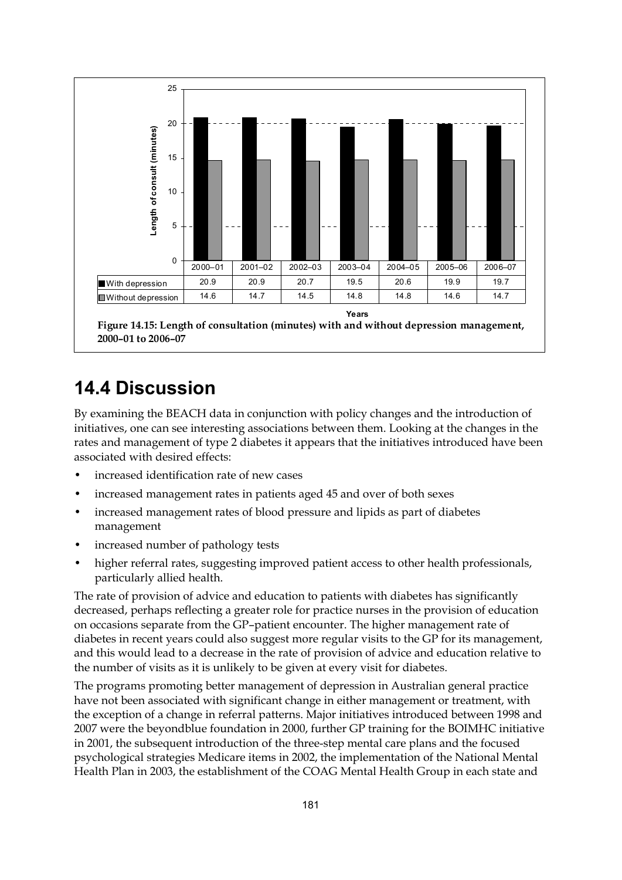

## **14.4 Discussion**

By examining the BEACH data in conjunction with policy changes and the introduction of initiatives, one can see interesting associations between them. Looking at the changes in the rates and management of type 2 diabetes it appears that the initiatives introduced have been associated with desired effects:

- increased identification rate of new cases
- increased management rates in patients aged 45 and over of both sexes
- increased management rates of blood pressure and lipids as part of diabetes management
- increased number of pathology tests
- higher referral rates, suggesting improved patient access to other health professionals, particularly allied health.

The rate of provision of advice and education to patients with diabetes has significantly decreased, perhaps reflecting a greater role for practice nurses in the provision of education on occasions separate from the GP–patient encounter. The higher management rate of diabetes in recent years could also suggest more regular visits to the GP for its management, and this would lead to a decrease in the rate of provision of advice and education relative to the number of visits as it is unlikely to be given at every visit for diabetes.

The programs promoting better management of depression in Australian general practice have not been associated with significant change in either management or treatment, with the exception of a change in referral patterns. Major initiatives introduced between 1998 and 2007 were the beyondblue foundation in 2000, further GP training for the BOIMHC initiative in 2001, the subsequent introduction of the three-step mental care plans and the focused psychological strategies Medicare items in 2002, the implementation of the National Mental Health Plan in 2003, the establishment of the COAG Mental Health Group in each state and